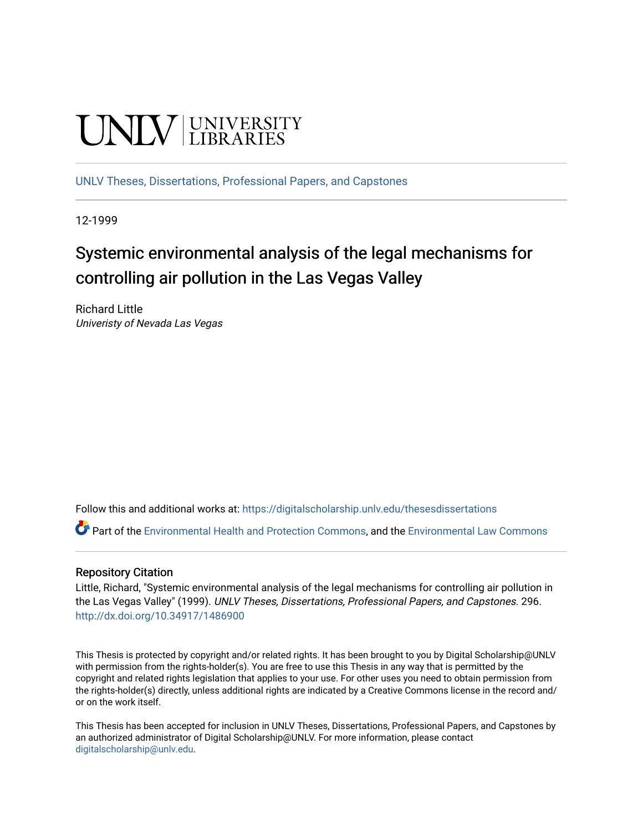# **UNIVERSITY**

[UNLV Theses, Dissertations, Professional Papers, and Capstones](https://digitalscholarship.unlv.edu/thesesdissertations)

12-1999

# Systemic environmental analysis of the legal mechanisms for controlling air pollution in the Las Vegas Valley

Richard Little Univeristy of Nevada Las Vegas

Follow this and additional works at: [https://digitalscholarship.unlv.edu/thesesdissertations](https://digitalscholarship.unlv.edu/thesesdissertations?utm_source=digitalscholarship.unlv.edu%2Fthesesdissertations%2F296&utm_medium=PDF&utm_campaign=PDFCoverPages)

Part of the [Environmental Health and Protection Commons,](http://network.bepress.com/hgg/discipline/172?utm_source=digitalscholarship.unlv.edu%2Fthesesdissertations%2F296&utm_medium=PDF&utm_campaign=PDFCoverPages) and the [Environmental Law Commons](http://network.bepress.com/hgg/discipline/599?utm_source=digitalscholarship.unlv.edu%2Fthesesdissertations%2F296&utm_medium=PDF&utm_campaign=PDFCoverPages) 

### Repository Citation

Little, Richard, "Systemic environmental analysis of the legal mechanisms for controlling air pollution in the Las Vegas Valley" (1999). UNLV Theses, Dissertations, Professional Papers, and Capstones. 296. <http://dx.doi.org/10.34917/1486900>

This Thesis is protected by copyright and/or related rights. It has been brought to you by Digital Scholarship@UNLV with permission from the rights-holder(s). You are free to use this Thesis in any way that is permitted by the copyright and related rights legislation that applies to your use. For other uses you need to obtain permission from the rights-holder(s) directly, unless additional rights are indicated by a Creative Commons license in the record and/ or on the work itself.

This Thesis has been accepted for inclusion in UNLV Theses, Dissertations, Professional Papers, and Capstones by an authorized administrator of Digital Scholarship@UNLV. For more information, please contact [digitalscholarship@unlv.edu](mailto:digitalscholarship@unlv.edu).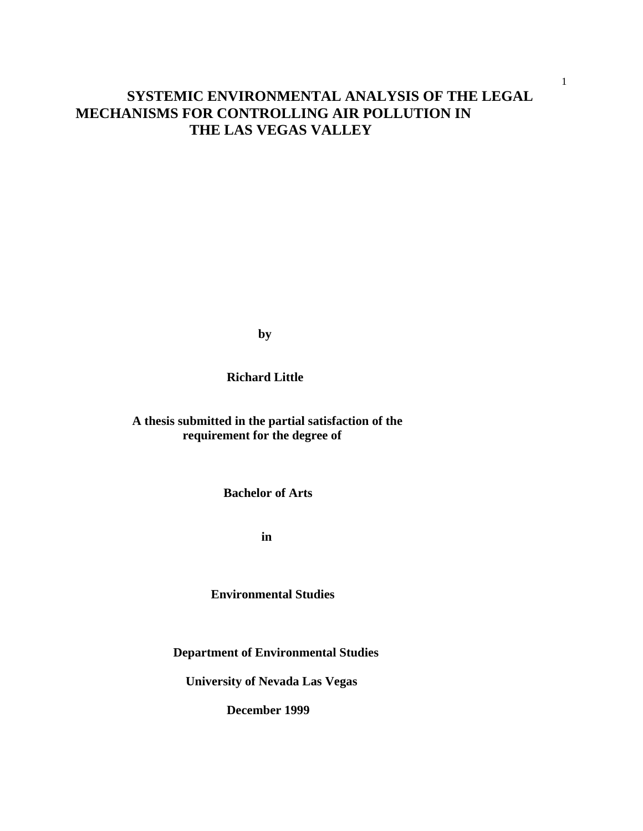# **SYSTEMIC ENVIRONMENTAL ANALYSIS OF THE LEGAL MECHANISMS FOR CONTROLLING AIR POLLUTION IN THE LAS VEGAS VALLEY**

**by**

 **Richard Little**

 **A thesis submitted in the partial satisfaction of the requirement for the degree of**

 **Bachelor of Arts**

**in**

 **Environmental Studies**

**Department of Environmental Studies**

**University of Nevada Las Vegas**

**December 1999**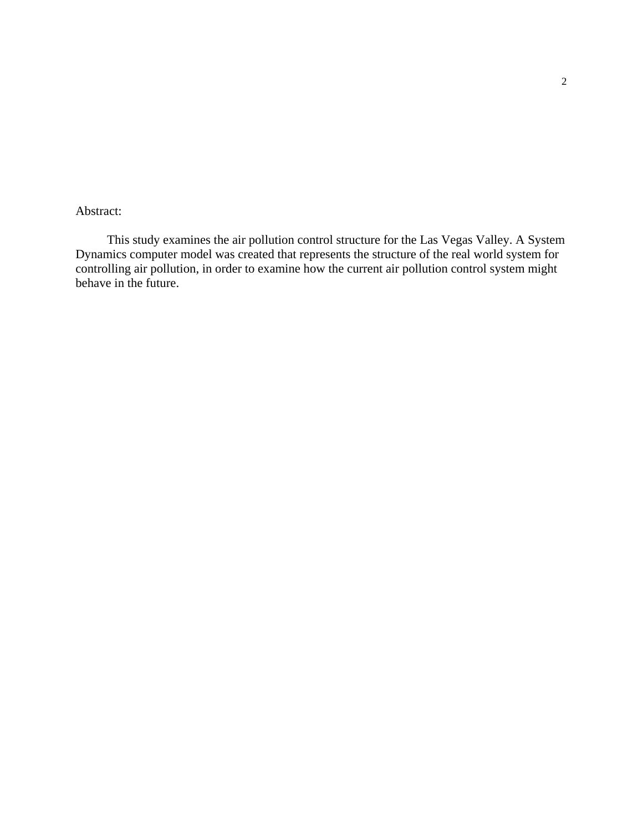# Abstract:

 This study examines the air pollution control structure for the Las Vegas Valley. A System Dynamics computer model was created that represents the structure of the real world system for controlling air pollution, in order to examine how the current air pollution control system might behave in the future.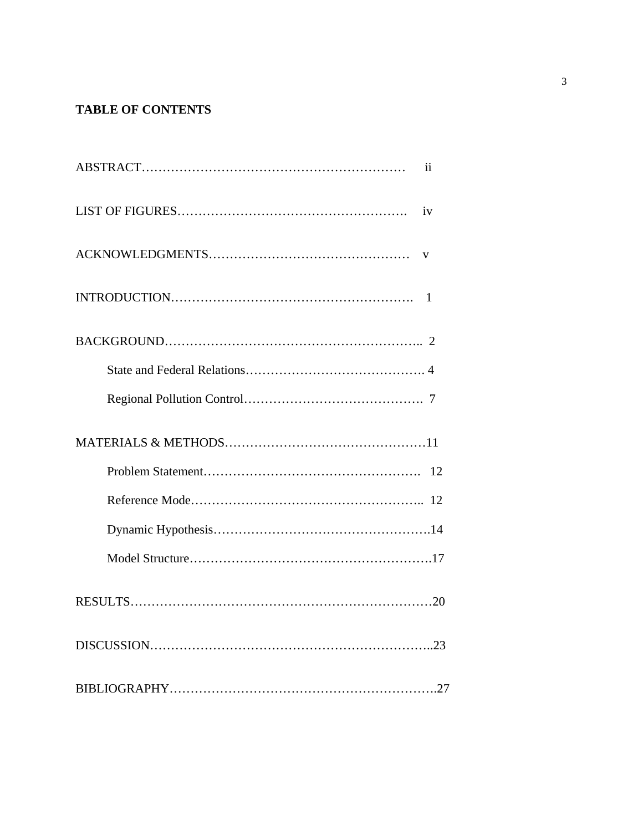# **TABLE OF CONTENTS**

| $\mathbf{ii}$ |
|---------------|
| iv            |
| V             |
| 1             |
|               |
|               |
|               |
|               |
| 12            |
|               |
|               |
|               |
|               |
|               |
|               |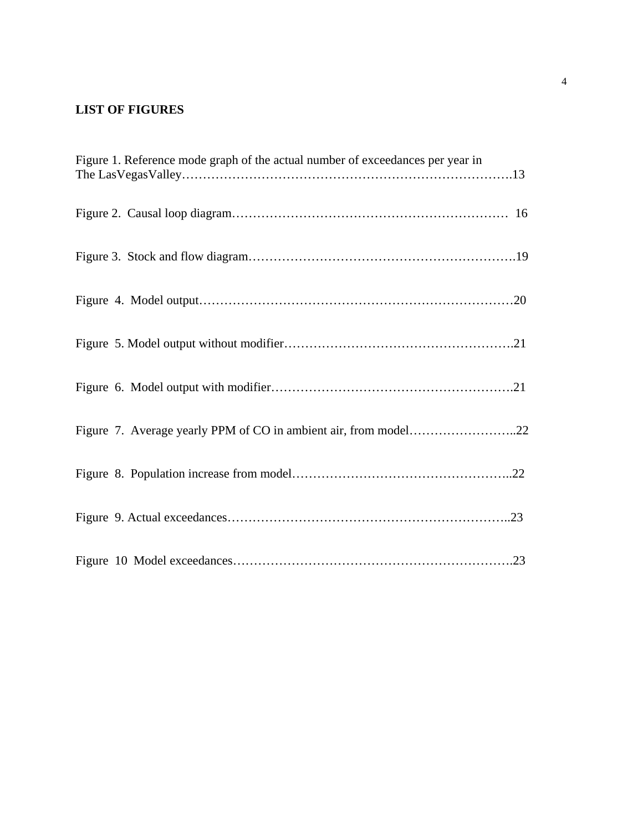# **LIST OF FIGURES**

| Figure 1. Reference mode graph of the actual number of exceedances per year in |  |
|--------------------------------------------------------------------------------|--|
|                                                                                |  |
|                                                                                |  |
|                                                                                |  |
|                                                                                |  |
|                                                                                |  |
| Figure 7. Average yearly PPM of CO in ambient air, from model22                |  |
|                                                                                |  |
|                                                                                |  |
|                                                                                |  |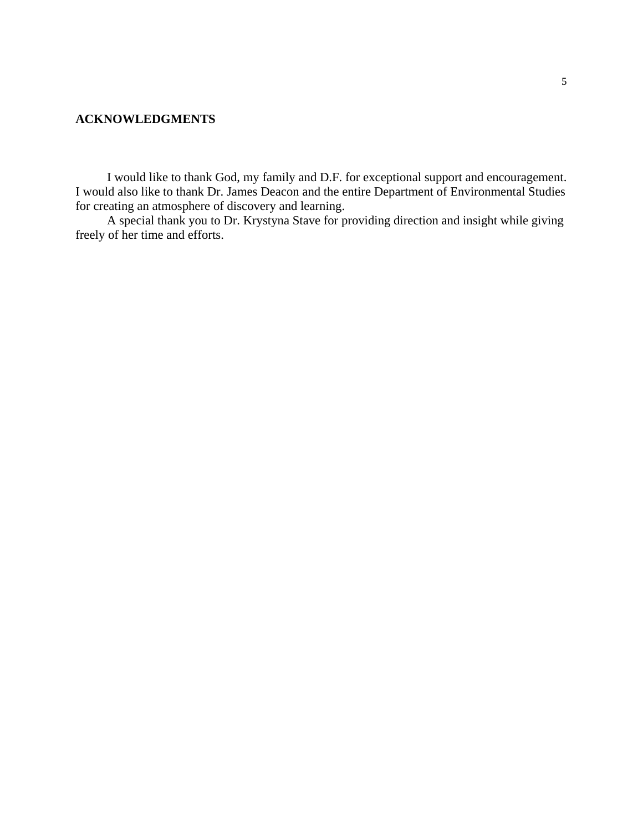### **ACKNOWLEDGMENTS**

 I would like to thank God, my family and D.F. for exceptional support and encouragement. I would also like to thank Dr. James Deacon and the entire Department of Environmental Studies for creating an atmosphere of discovery and learning.

 A special thank you to Dr. Krystyna Stave for providing direction and insight while giving freely of her time and efforts.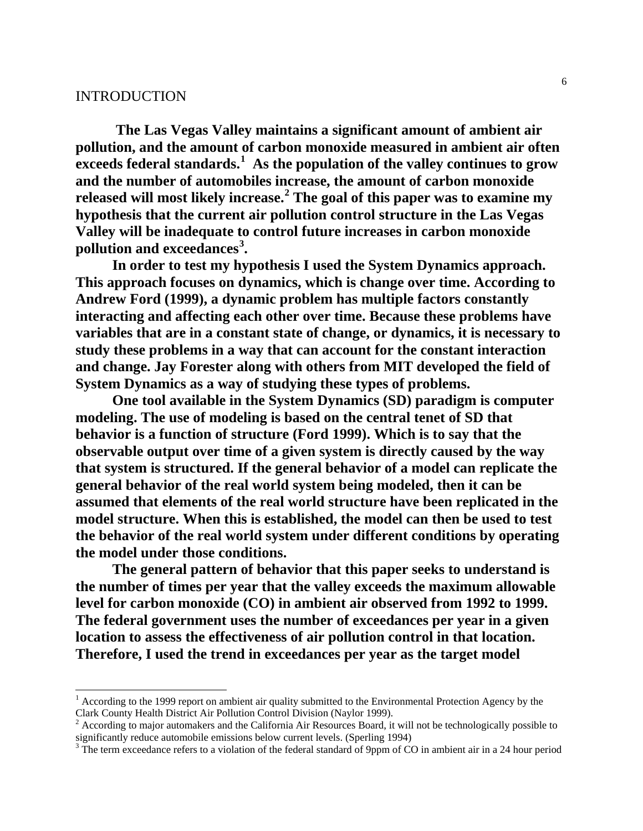## INTRODUCTION

 **The Las Vegas Valley maintains a significant amount of ambient air pollution, and the amount of carbon monoxide measured in ambient air often exceeds federal standards.[1](#page-6-0) As the population of the valley continues to grow and the number of automobiles increase, the amount of carbon monoxide released will most likely increase.[2](#page-6-1) The goal of this paper was to examine my hypothesis that the current air pollution control structure in the Las Vegas Valley will be inadequate to control future increases in carbon monoxide pollution and exceedances[3](#page-6-2) .**

 **In order to test my hypothesis I used the System Dynamics approach. This approach focuses on dynamics, which is change over time. According to Andrew Ford (1999), a dynamic problem has multiple factors constantly interacting and affecting each other over time. Because these problems have variables that are in a constant state of change, or dynamics, it is necessary to study these problems in a way that can account for the constant interaction and change. Jay Forester along with others from MIT developed the field of System Dynamics as a way of studying these types of problems.**

 **One tool available in the System Dynamics (SD) paradigm is computer modeling. The use of modeling is based on the central tenet of SD that behavior is a function of structure (Ford 1999). Which is to say that the observable output over time of a given system is directly caused by the way that system is structured. If the general behavior of a model can replicate the general behavior of the real world system being modeled, then it can be assumed that elements of the real world structure have been replicated in the model structure. When this is established, the model can then be used to test the behavior of the real world system under different conditions by operating the model under those conditions.**

 **The general pattern of behavior that this paper seeks to understand is the number of times per year that the valley exceeds the maximum allowable level for carbon monoxide (CO) in ambient air observed from 1992 to 1999. The federal government uses the number of exceedances per year in a given location to assess the effectiveness of air pollution control in that location. Therefore, I used the trend in exceedances per year as the target model** 

<span id="page-6-0"></span><sup>&</sup>lt;sup>1</sup> According to the 1999 report on ambient air quality submitted to the Environmental Protection Agency by the Clark County Health District Air Pollution Control Division (Naylor 1999).

<span id="page-6-1"></span> $2$  According to major automakers and the California Air Resources Board, it will not be technologically possible to significantly reduce automobile emissions below current levels. (Sperling 1994)

<span id="page-6-2"></span> $3$  The term exceedance refers to a violation of the federal standard of 9ppm of CO in ambient air in a 24 hour period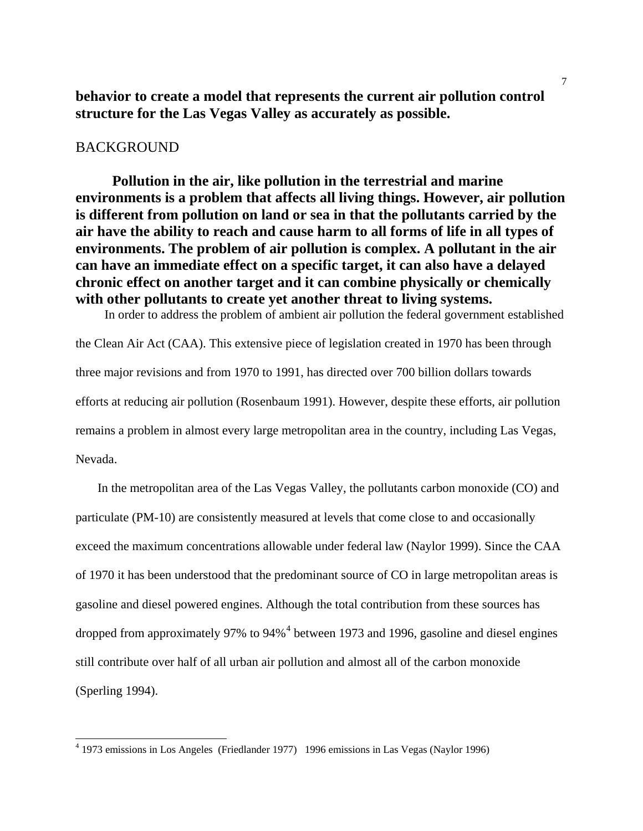**behavior to create a model that represents the current air pollution control structure for the Las Vegas Valley as accurately as possible.**

#### BACKGROUND

 **Pollution in the air, like pollution in the terrestrial and marine environments is a problem that affects all living things. However, air pollution is different from pollution on land or sea in that the pollutants carried by the air have the ability to reach and cause harm to all forms of life in all types of environments. The problem of air pollution is complex. A pollutant in the air can have an immediate effect on a specific target, it can also have a delayed chronic effect on another target and it can combine physically or chemically with other pollutants to create yet another threat to living systems.**  In order to address the problem of ambient air pollution the federal government established

the Clean Air Act (CAA). This extensive piece of legislation created in 1970 has been through three major revisions and from 1970 to 1991, has directed over 700 billion dollars towards efforts at reducing air pollution (Rosenbaum 1991). However, despite these efforts, air pollution remains a problem in almost every large metropolitan area in the country, including Las Vegas, Nevada.

 In the metropolitan area of the Las Vegas Valley, the pollutants carbon monoxide (CO) and particulate (PM-10) are consistently measured at levels that come close to and occasionally exceed the maximum concentrations allowable under federal law (Naylor 1999). Since the CAA of 1970 it has been understood that the predominant source of CO in large metropolitan areas is gasoline and diesel powered engines. Although the total contribution from these sources has dropped from approximately 97% to 9[4](#page-7-0)%<sup>4</sup> between 1973 and 1996, gasoline and diesel engines still contribute over half of all urban air pollution and almost all of the carbon monoxide (Sperling 1994).

<span id="page-7-0"></span> <sup>4</sup> 1973 emissions in Los Angeles (Friedlander 1977) 1996 emissions in Las Vegas (Naylor 1996)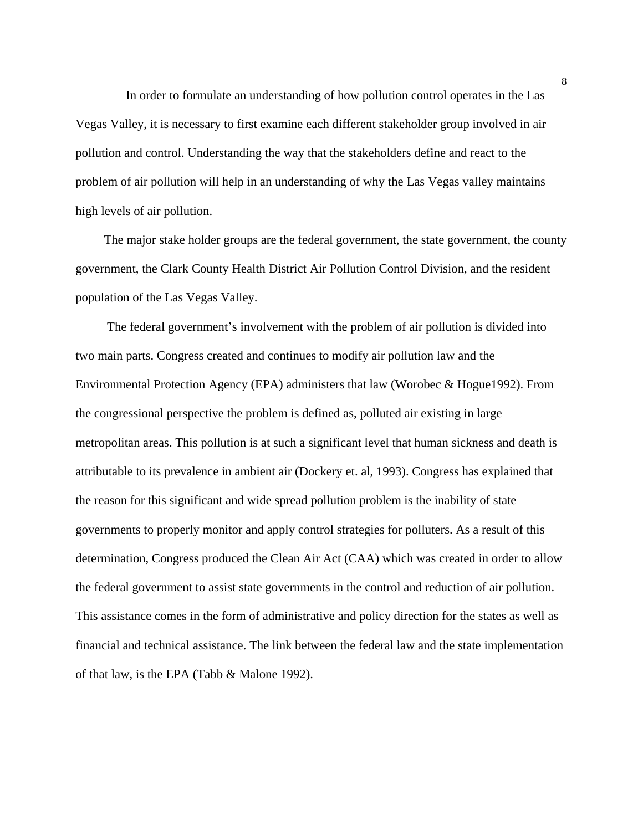In order to formulate an understanding of how pollution control operates in the Las Vegas Valley, it is necessary to first examine each different stakeholder group involved in air pollution and control. Understanding the way that the stakeholders define and react to the problem of air pollution will help in an understanding of why the Las Vegas valley maintains high levels of air pollution.

 The major stake holder groups are the federal government, the state government, the county government, the Clark County Health District Air Pollution Control Division, and the resident population of the Las Vegas Valley.

 The federal government's involvement with the problem of air pollution is divided into two main parts. Congress created and continues to modify air pollution law and the Environmental Protection Agency (EPA) administers that law (Worobec & Hogue1992). From the congressional perspective the problem is defined as, polluted air existing in large metropolitan areas. This pollution is at such a significant level that human sickness and death is attributable to its prevalence in ambient air (Dockery et. al, 1993). Congress has explained that the reason for this significant and wide spread pollution problem is the inability of state governments to properly monitor and apply control strategies for polluters. As a result of this determination, Congress produced the Clean Air Act (CAA) which was created in order to allow the federal government to assist state governments in the control and reduction of air pollution. This assistance comes in the form of administrative and policy direction for the states as well as financial and technical assistance. The link between the federal law and the state implementation of that law, is the EPA (Tabb & Malone 1992).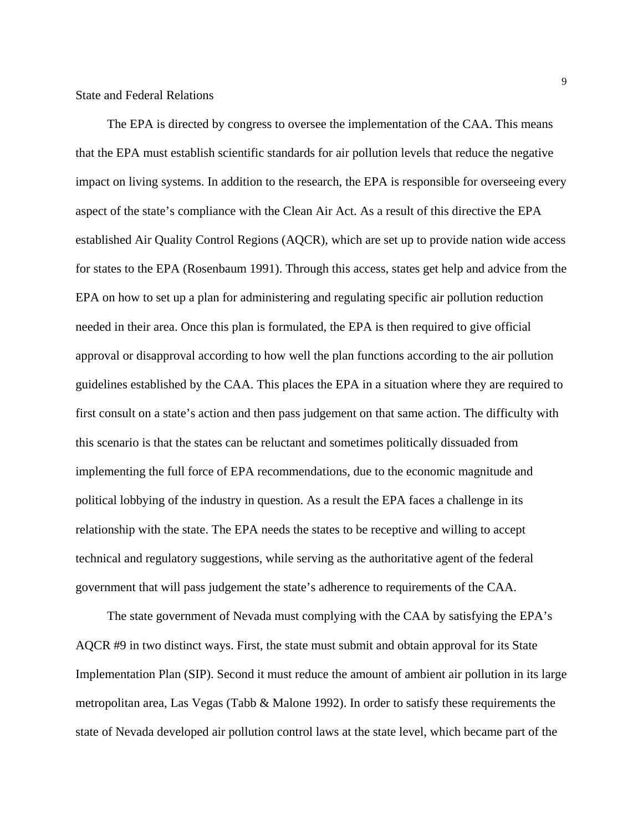The EPA is directed by congress to oversee the implementation of the CAA. This means that the EPA must establish scientific standards for air pollution levels that reduce the negative impact on living systems. In addition to the research, the EPA is responsible for overseeing every aspect of the state's compliance with the Clean Air Act. As a result of this directive the EPA established Air Quality Control Regions (AQCR), which are set up to provide nation wide access for states to the EPA (Rosenbaum 1991). Through this access, states get help and advice from the EPA on how to set up a plan for administering and regulating specific air pollution reduction needed in their area. Once this plan is formulated, the EPA is then required to give official approval or disapproval according to how well the plan functions according to the air pollution guidelines established by the CAA. This places the EPA in a situation where they are required to first consult on a state's action and then pass judgement on that same action. The difficulty with this scenario is that the states can be reluctant and sometimes politically dissuaded from implementing the full force of EPA recommendations, due to the economic magnitude and political lobbying of the industry in question. As a result the EPA faces a challenge in its relationship with the state. The EPA needs the states to be receptive and willing to accept technical and regulatory suggestions, while serving as the authoritative agent of the federal government that will pass judgement the state's adherence to requirements of the CAA.

 The state government of Nevada must complying with the CAA by satisfying the EPA's AQCR #9 in two distinct ways. First, the state must submit and obtain approval for its State Implementation Plan (SIP). Second it must reduce the amount of ambient air pollution in its large metropolitan area, Las Vegas (Tabb & Malone 1992). In order to satisfy these requirements the state of Nevada developed air pollution control laws at the state level, which became part of the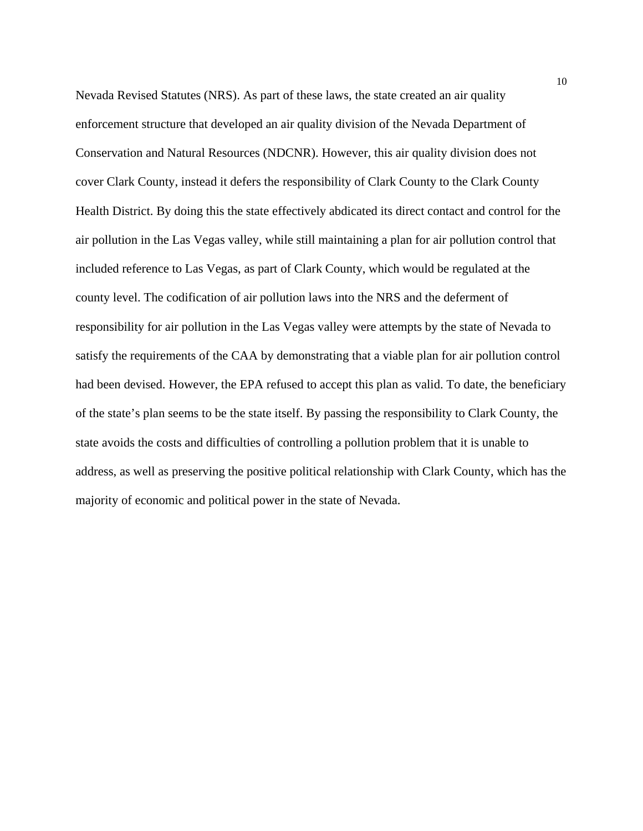Nevada Revised Statutes (NRS). As part of these laws, the state created an air quality enforcement structure that developed an air quality division of the Nevada Department of Conservation and Natural Resources (NDCNR). However, this air quality division does not cover Clark County, instead it defers the responsibility of Clark County to the Clark County Health District. By doing this the state effectively abdicated its direct contact and control for the air pollution in the Las Vegas valley, while still maintaining a plan for air pollution control that included reference to Las Vegas, as part of Clark County, which would be regulated at the county level. The codification of air pollution laws into the NRS and the deferment of responsibility for air pollution in the Las Vegas valley were attempts by the state of Nevada to satisfy the requirements of the CAA by demonstrating that a viable plan for air pollution control had been devised. However, the EPA refused to accept this plan as valid. To date, the beneficiary of the state's plan seems to be the state itself. By passing the responsibility to Clark County, the state avoids the costs and difficulties of controlling a pollution problem that it is unable to address, as well as preserving the positive political relationship with Clark County, which has the majority of economic and political power in the state of Nevada.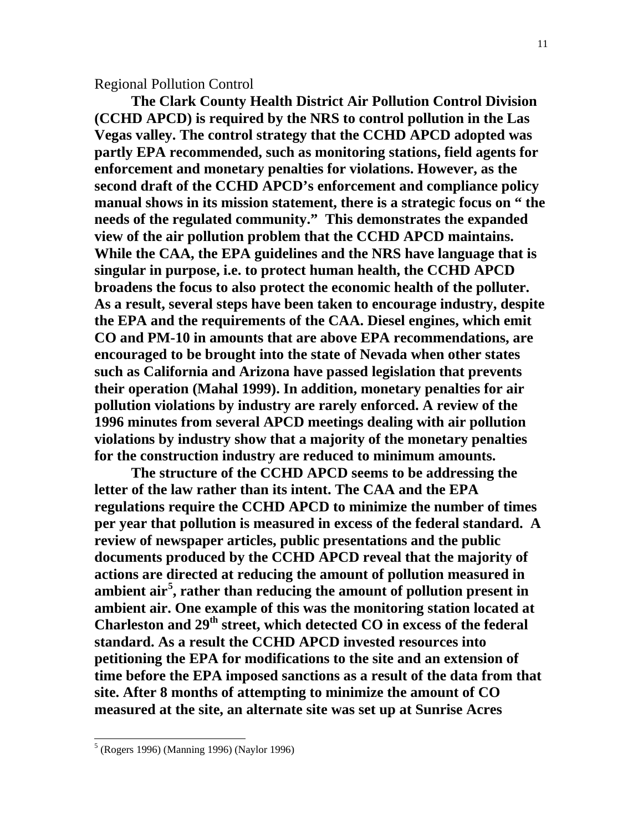# Regional Pollution Control

 **The Clark County Health District Air Pollution Control Division (CCHD APCD) is required by the NRS to control pollution in the Las Vegas valley. The control strategy that the CCHD APCD adopted was partly EPA recommended, such as monitoring stations, field agents for enforcement and monetary penalties for violations. However, as the second draft of the CCHD APCD's enforcement and compliance policy manual shows in its mission statement, there is a strategic focus on " the needs of the regulated community." This demonstrates the expanded view of the air pollution problem that the CCHD APCD maintains. While the CAA, the EPA guidelines and the NRS have language that is singular in purpose, i.e. to protect human health, the CCHD APCD broadens the focus to also protect the economic health of the polluter. As a result, several steps have been taken to encourage industry, despite the EPA and the requirements of the CAA. Diesel engines, which emit CO and PM-10 in amounts that are above EPA recommendations, are encouraged to be brought into the state of Nevada when other states such as California and Arizona have passed legislation that prevents their operation (Mahal 1999). In addition, monetary penalties for air pollution violations by industry are rarely enforced. A review of the 1996 minutes from several APCD meetings dealing with air pollution violations by industry show that a majority of the monetary penalties for the construction industry are reduced to minimum amounts.**

 **The structure of the CCHD APCD seems to be addressing the letter of the law rather than its intent. The CAA and the EPA regulations require the CCHD APCD to minimize the number of times per year that pollution is measured in excess of the federal standard. A review of newspaper articles, public presentations and the public documents produced by the CCHD APCD reveal that the majority of actions are directed at reducing the amount of pollution measured in ambient air[5](#page-11-0) , rather than reducing the amount of pollution present in ambient air. One example of this was the monitoring station located at Charleston and 29th street, which detected CO in excess of the federal standard. As a result the CCHD APCD invested resources into petitioning the EPA for modifications to the site and an extension of time before the EPA imposed sanctions as a result of the data from that site. After 8 months of attempting to minimize the amount of CO measured at the site, an alternate site was set up at Sunrise Acres** 

<span id="page-11-0"></span> <sup>5</sup> (Rogers 1996) (Manning 1996) (Naylor 1996)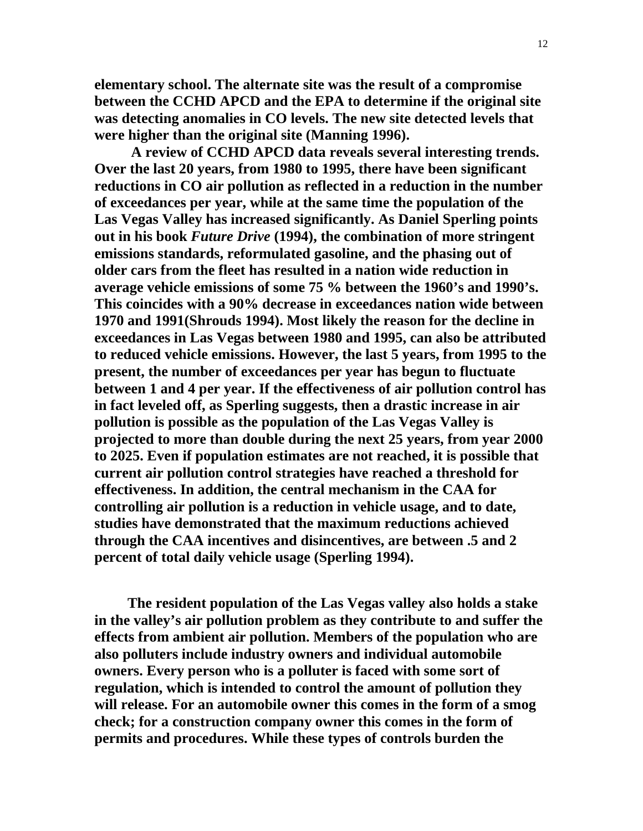**elementary school. The alternate site was the result of a compromise between the CCHD APCD and the EPA to determine if the original site was detecting anomalies in CO levels. The new site detected levels that were higher than the original site (Manning 1996).** 

 **A review of CCHD APCD data reveals several interesting trends. Over the last 20 years, from 1980 to 1995, there have been significant reductions in CO air pollution as reflected in a reduction in the number of exceedances per year, while at the same time the population of the Las Vegas Valley has increased significantly. As Daniel Sperling points out in his book** *Future Drive* **(1994), the combination of more stringent emissions standards, reformulated gasoline, and the phasing out of older cars from the fleet has resulted in a nation wide reduction in average vehicle emissions of some 75 % between the 1960's and 1990's. This coincides with a 90% decrease in exceedances nation wide between 1970 and 1991(Shrouds 1994). Most likely the reason for the decline in exceedances in Las Vegas between 1980 and 1995, can also be attributed to reduced vehicle emissions. However, the last 5 years, from 1995 to the present, the number of exceedances per year has begun to fluctuate between 1 and 4 per year. If the effectiveness of air pollution control has in fact leveled off, as Sperling suggests, then a drastic increase in air pollution is possible as the population of the Las Vegas Valley is projected to more than double during the next 25 years, from year 2000 to 2025. Even if population estimates are not reached, it is possible that current air pollution control strategies have reached a threshold for effectiveness. In addition, the central mechanism in the CAA for controlling air pollution is a reduction in vehicle usage, and to date, studies have demonstrated that the maximum reductions achieved through the CAA incentives and disincentives, are between .5 and 2 percent of total daily vehicle usage (Sperling 1994).**

 **The resident population of the Las Vegas valley also holds a stake in the valley's air pollution problem as they contribute to and suffer the effects from ambient air pollution. Members of the population who are also polluters include industry owners and individual automobile owners. Every person who is a polluter is faced with some sort of regulation, which is intended to control the amount of pollution they will release. For an automobile owner this comes in the form of a smog check; for a construction company owner this comes in the form of permits and procedures. While these types of controls burden the**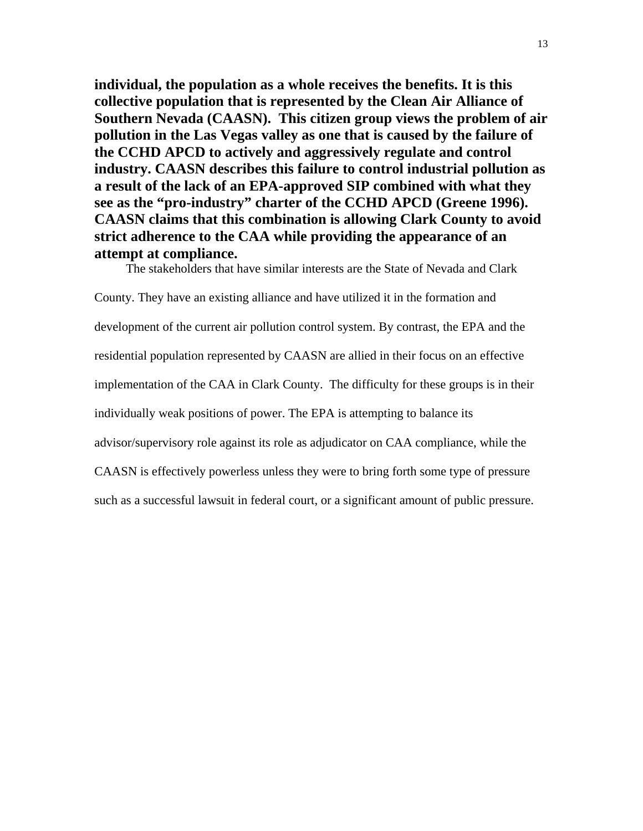**individual, the population as a whole receives the benefits. It is this collective population that is represented by the Clean Air Alliance of Southern Nevada (CAASN). This citizen group views the problem of air pollution in the Las Vegas valley as one that is caused by the failure of the CCHD APCD to actively and aggressively regulate and control industry. CAASN describes this failure to control industrial pollution as a result of the lack of an EPA-approved SIP combined with what they see as the "pro-industry" charter of the CCHD APCD (Greene 1996). CAASN claims that this combination is allowing Clark County to avoid strict adherence to the CAA while providing the appearance of an attempt at compliance.**

The stakeholders that have similar interests are the State of Nevada and Clark

County. They have an existing alliance and have utilized it in the formation and development of the current air pollution control system. By contrast, the EPA and the residential population represented by CAASN are allied in their focus on an effective implementation of the CAA in Clark County. The difficulty for these groups is in their individually weak positions of power. The EPA is attempting to balance its advisor/supervisory role against its role as adjudicator on CAA compliance, while the CAASN is effectively powerless unless they were to bring forth some type of pressure such as a successful lawsuit in federal court, or a significant amount of public pressure.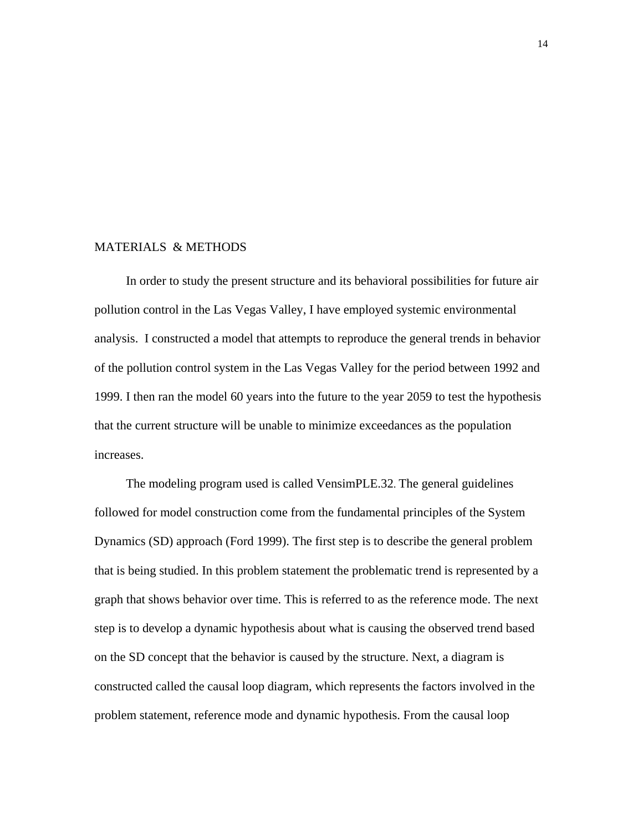#### MATERIALS & METHODS

 In order to study the present structure and its behavioral possibilities for future air pollution control in the Las Vegas Valley, I have employed systemic environmental analysis. I constructed a model that attempts to reproduce the general trends in behavior of the pollution control system in the Las Vegas Valley for the period between 1992 and 1999. I then ran the model 60 years into the future to the year 2059 to test the hypothesis that the current structure will be unable to minimize exceedances as the population increases.

 The modeling program used is called VensimPLE.32. The general guidelines followed for model construction come from the fundamental principles of the System Dynamics (SD) approach (Ford 1999). The first step is to describe the general problem that is being studied. In this problem statement the problematic trend is represented by a graph that shows behavior over time. This is referred to as the reference mode. The next step is to develop a dynamic hypothesis about what is causing the observed trend based on the SD concept that the behavior is caused by the structure. Next, a diagram is constructed called the causal loop diagram, which represents the factors involved in the problem statement, reference mode and dynamic hypothesis. From the causal loop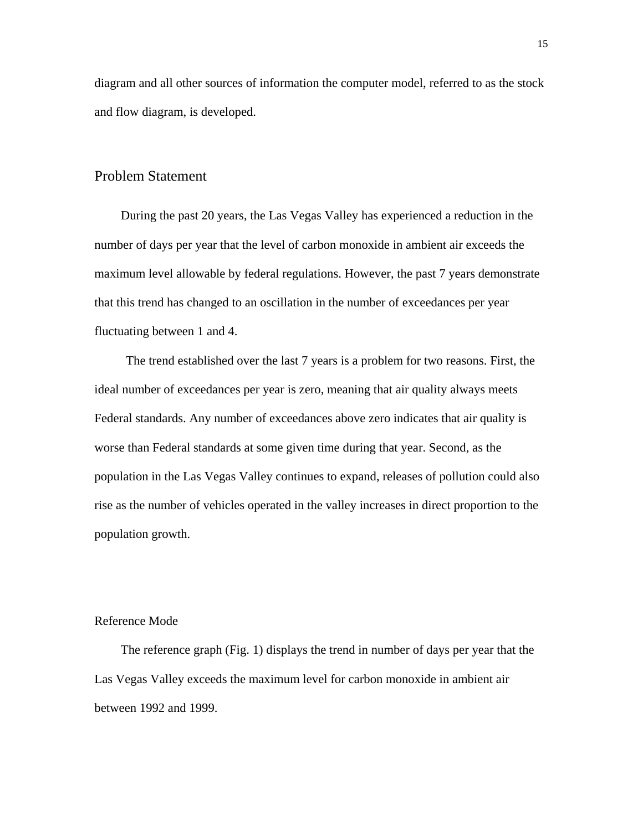diagram and all other sources of information the computer model, referred to as the stock and flow diagram, is developed.

# Problem Statement

 During the past 20 years, the Las Vegas Valley has experienced a reduction in the number of days per year that the level of carbon monoxide in ambient air exceeds the maximum level allowable by federal regulations. However, the past 7 years demonstrate that this trend has changed to an oscillation in the number of exceedances per year fluctuating between 1 and 4.

 The trend established over the last 7 years is a problem for two reasons. First, the ideal number of exceedances per year is zero, meaning that air quality always meets Federal standards. Any number of exceedances above zero indicates that air quality is worse than Federal standards at some given time during that year. Second, as the population in the Las Vegas Valley continues to expand, releases of pollution could also rise as the number of vehicles operated in the valley increases in direct proportion to the population growth.

#### Reference Mode

 The reference graph (Fig. 1) displays the trend in number of days per year that the Las Vegas Valley exceeds the maximum level for carbon monoxide in ambient air between 1992 and 1999.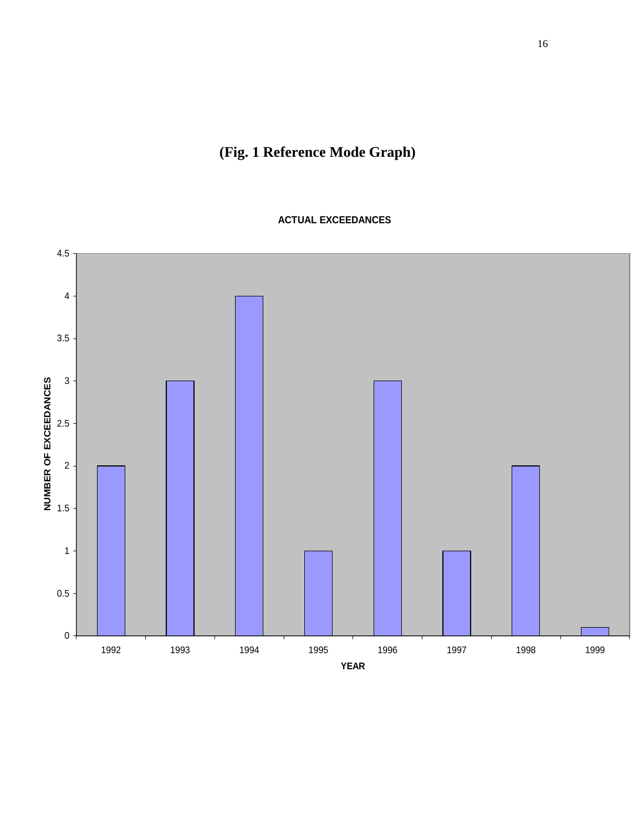# **(Fig. 1 Reference Mode Graph)**

**ACTUAL EXCEEDANCES**

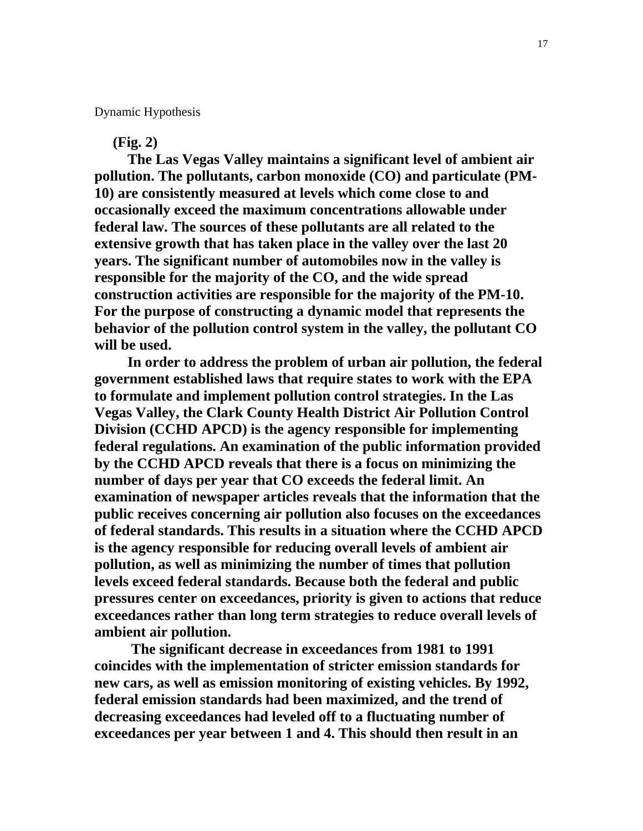Dynamic Hypothesis

 **(Fig. 2)**

 **The Las Vegas Valley maintains a significant level of ambient air pollution. The pollutants, carbon monoxide (CO) and particulate (PM-10) are consistently measured at levels which come close to and occasionally exceed the maximum concentrations allowable under federal law. The sources of these pollutants are all related to the extensive growth that has taken place in the valley over the last 20 years. The significant number of automobiles now in the valley is responsible for the majority of the CO, and the wide spread construction activities are responsible for the majority of the PM-10. For the purpose of constructing a dynamic model that represents the behavior of the pollution control system in the valley, the pollutant CO will be used.**

 **In order to address the problem of urban air pollution, the federal government established laws that require states to work with the EPA to formulate and implement pollution control strategies. In the Las Vegas Valley, the Clark County Health District Air Pollution Control Division (CCHD APCD) is the agency responsible for implementing federal regulations. An examination of the public information provided by the CCHD APCD reveals that there is a focus on minimizing the number of days per year that CO exceeds the federal limit. An examination of newspaper articles reveals that the information that the public receives concerning air pollution also focuses on the exceedances of federal standards. This results in a situation where the CCHD APCD is the agency responsible for reducing overall levels of ambient air pollution, as well as minimizing the number of times that pollution levels exceed federal standards. Because both the federal and public pressures center on exceedances, priority is given to actions that reduce exceedances rather than long term strategies to reduce overall levels of ambient air pollution.** 

 **The significant decrease in exceedances from 1981 to 1991 coincides with the implementation of stricter emission standards for new cars, as well as emission monitoring of existing vehicles. By 1992, federal emission standards had been maximized, and the trend of decreasing exceedances had leveled off to a fluctuating number of exceedances per year between 1 and 4. This should then result in an**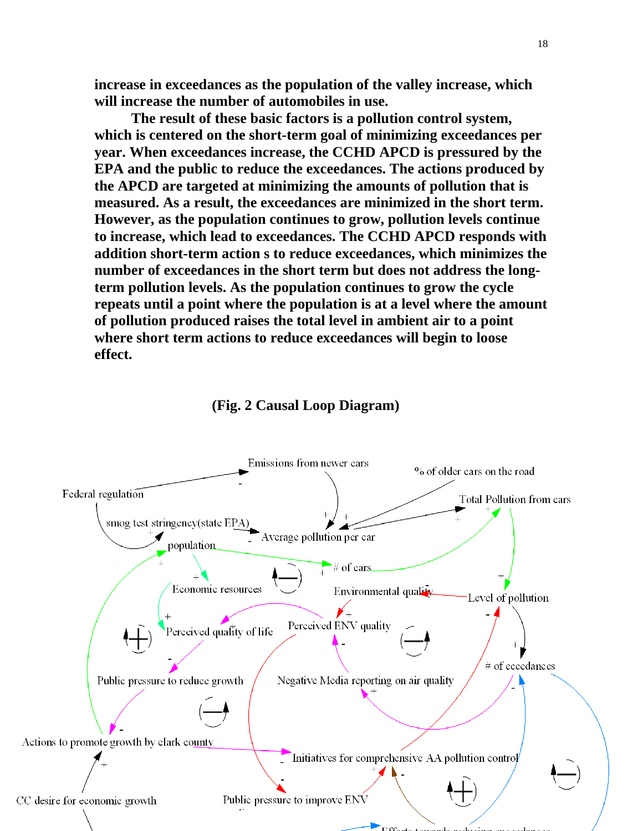**increase in exceedances as the population of the valley increase, which will increase the number of automobiles in use.**

 **The result of these basic factors is a pollution control system, which is centered on the short-term goal of minimizing exceedances per year. When exceedances increase, the CCHD APCD is pressured by the EPA and the public to reduce the exceedances. The actions produced by the APCD are targeted at minimizing the amounts of pollution that is measured. As a result, the exceedances are minimized in the short term. However, as the population continues to grow, pollution levels continue to increase, which lead to exceedances. The CCHD APCD responds with addition short-term action s to reduce exceedances, which minimizes the number of exceedances in the short term but does not address the longterm pollution levels. As the population continues to grow the cycle repeats until a point where the population is at a level where the amount of pollution produced raises the total level in ambient air to a point where short term actions to reduce exceedances will begin to loose effect.** 



## **(Fig. 2 Causal Loop Diagram)**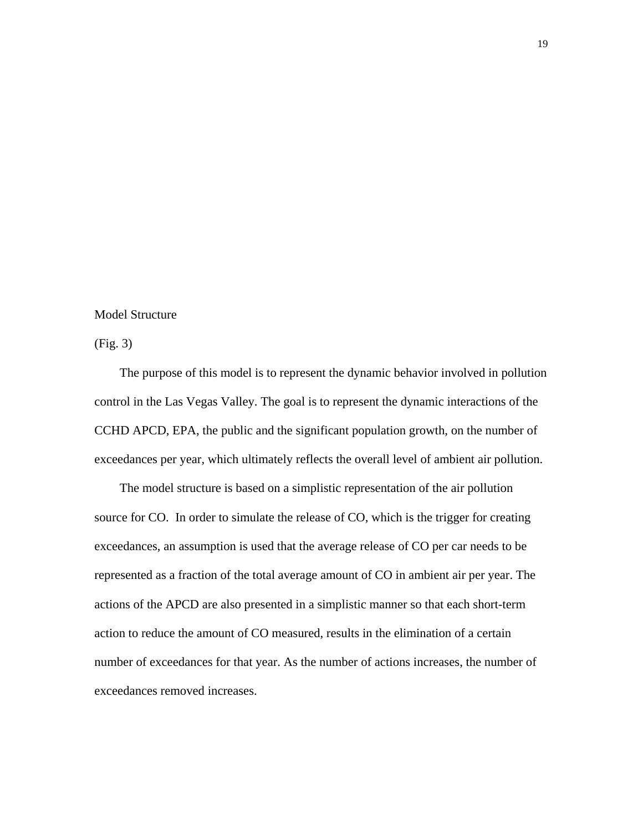### Model Structure

(Fig. 3)

 The purpose of this model is to represent the dynamic behavior involved in pollution control in the Las Vegas Valley. The goal is to represent the dynamic interactions of the CCHD APCD, EPA, the public and the significant population growth, on the number of exceedances per year, which ultimately reflects the overall level of ambient air pollution.

 The model structure is based on a simplistic representation of the air pollution source for CO. In order to simulate the release of CO, which is the trigger for creating exceedances, an assumption is used that the average release of CO per car needs to be represented as a fraction of the total average amount of CO in ambient air per year. The actions of the APCD are also presented in a simplistic manner so that each short-term action to reduce the amount of CO measured, results in the elimination of a certain number of exceedances for that year. As the number of actions increases, the number of exceedances removed increases.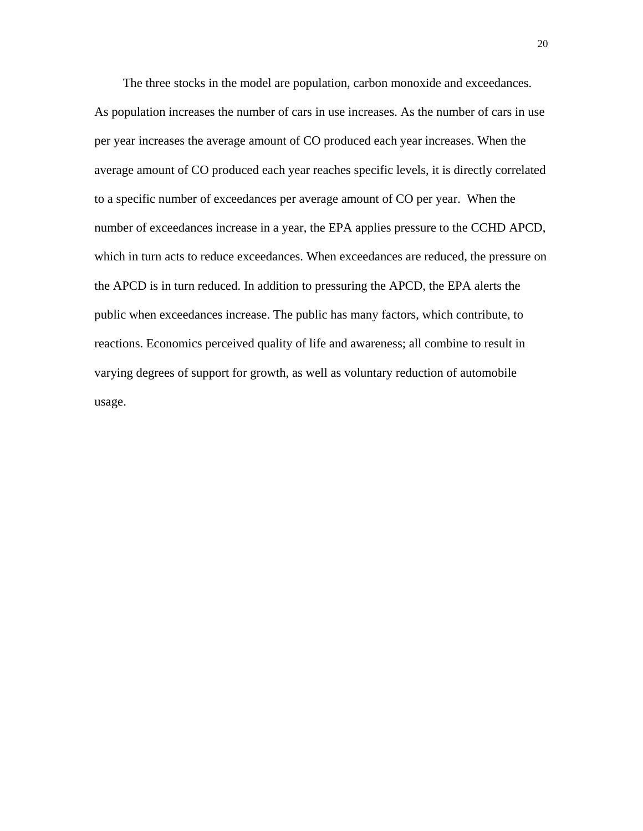The three stocks in the model are population, carbon monoxide and exceedances. As population increases the number of cars in use increases. As the number of cars in use per year increases the average amount of CO produced each year increases. When the average amount of CO produced each year reaches specific levels, it is directly correlated to a specific number of exceedances per average amount of CO per year. When the number of exceedances increase in a year, the EPA applies pressure to the CCHD APCD, which in turn acts to reduce exceedances. When exceedances are reduced, the pressure on the APCD is in turn reduced. In addition to pressuring the APCD, the EPA alerts the public when exceedances increase. The public has many factors, which contribute, to reactions. Economics perceived quality of life and awareness; all combine to result in varying degrees of support for growth, as well as voluntary reduction of automobile usage.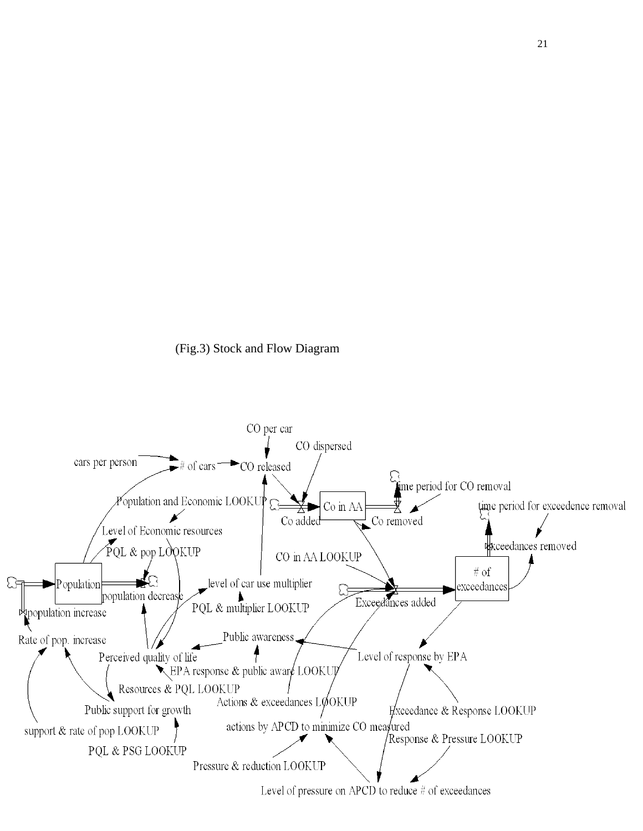

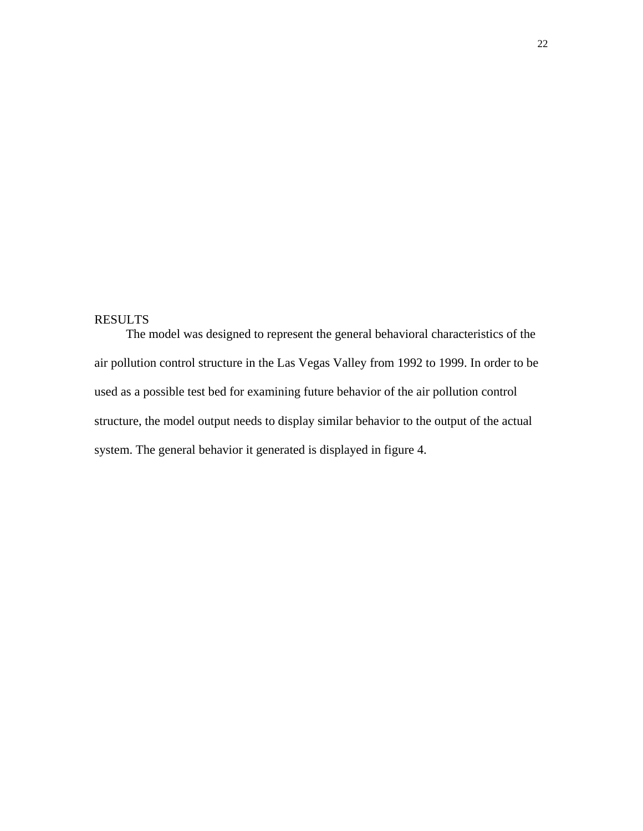# RESULTS

The model was designed to represent the general behavioral characteristics of the air pollution control structure in the Las Vegas Valley from 1992 to 1999. In order to be used as a possible test bed for examining future behavior of the air pollution control structure, the model output needs to display similar behavior to the output of the actual system. The general behavior it generated is displayed in figure 4.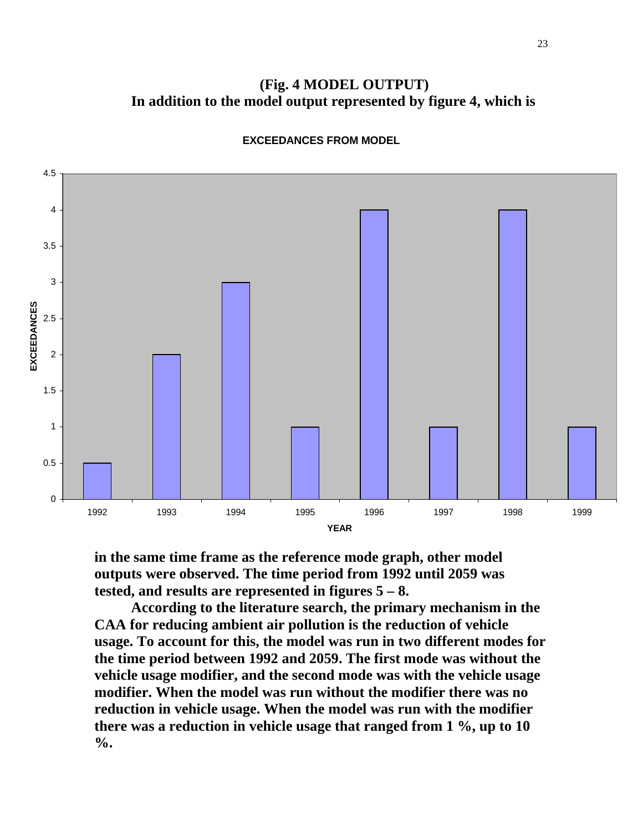**(Fig. 4 MODEL OUTPUT) In addition to the model output represented by figure 4, which is** 

![](_page_23_Figure_1.jpeg)

**EXCEEDANCES FROM MODEL**

**in the same time frame as the reference mode graph, other model outputs were observed. The time period from 1992 until 2059 was tested, and results are represented in figures 5 – 8.** 

 **According to the literature search, the primary mechanism in the CAA for reducing ambient air pollution is the reduction of vehicle usage. To account for this, the model was run in two different modes for the time period between 1992 and 2059. The first mode was without the vehicle usage modifier, and the second mode was with the vehicle usage modifier. When the model was run without the modifier there was no reduction in vehicle usage. When the model was run with the modifier there was a reduction in vehicle usage that ranged from 1 %, up to 10 %.**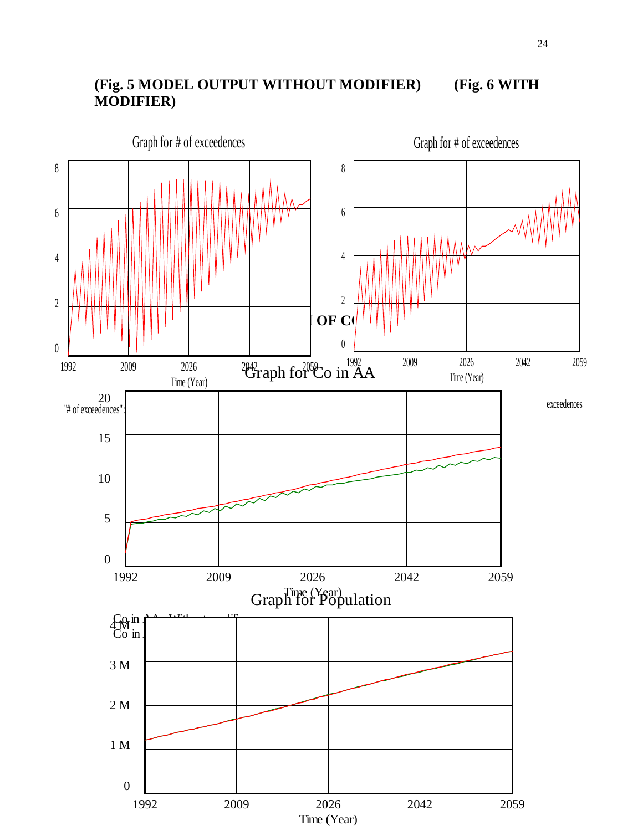# **(Fig. 5 MODEL OUTPUT WITHOUT MODIFIER) (Fig. 6 WITH MODIFIER)**

![](_page_24_Figure_1.jpeg)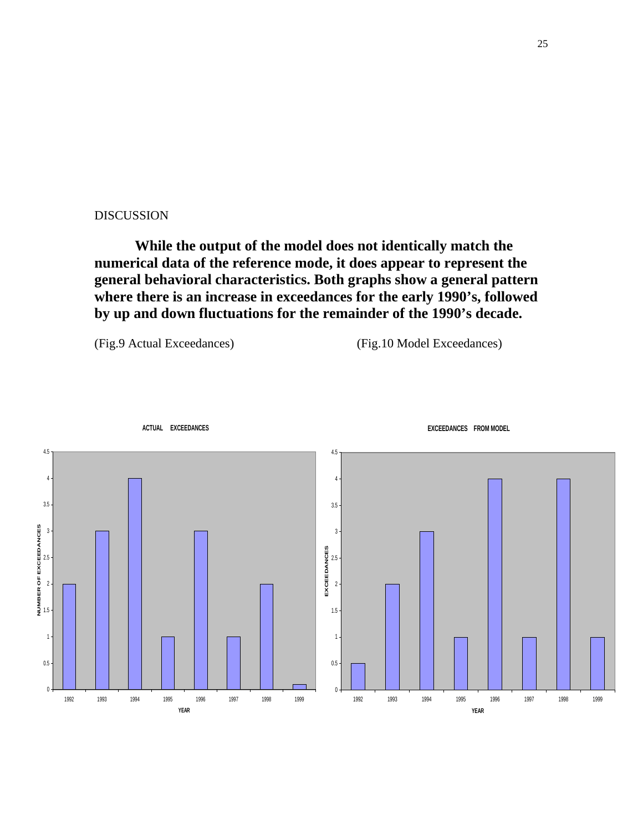#### DISCUSSION

 **While the output of the model does not identically match the numerical data of the reference mode, it does appear to represent the general behavioral characteristics. Both graphs show a general pattern where there is an increase in exceedances for the early 1990's, followed by up and down fluctuations for the remainder of the 1990's decade.** 

(Fig.9 Actual Exceedances) (Fig.10 Model Exceedances)

![](_page_25_Figure_4.jpeg)

**ACTUAL EXCEEDANCES**

#### **EXCEEDANCES FROM MODEL**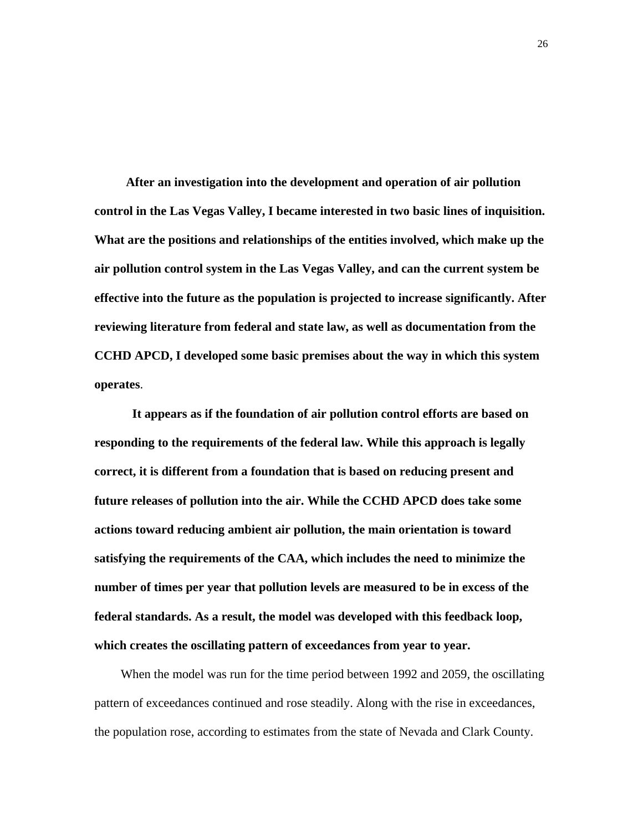**After an investigation into the development and operation of air pollution control in the Las Vegas Valley, I became interested in two basic lines of inquisition. What are the positions and relationships of the entities involved, which make up the air pollution control system in the Las Vegas Valley, and can the current system be effective into the future as the population is projected to increase significantly. After reviewing literature from federal and state law, as well as documentation from the CCHD APCD, I developed some basic premises about the way in which this system operates**.

 **It appears as if the foundation of air pollution control efforts are based on responding to the requirements of the federal law. While this approach is legally correct, it is different from a foundation that is based on reducing present and future releases of pollution into the air. While the CCHD APCD does take some actions toward reducing ambient air pollution, the main orientation is toward satisfying the requirements of the CAA, which includes the need to minimize the number of times per year that pollution levels are measured to be in excess of the federal standards. As a result, the model was developed with this feedback loop, which creates the oscillating pattern of exceedances from year to year.** 

 When the model was run for the time period between 1992 and 2059, the oscillating pattern of exceedances continued and rose steadily. Along with the rise in exceedances, the population rose, according to estimates from the state of Nevada and Clark County.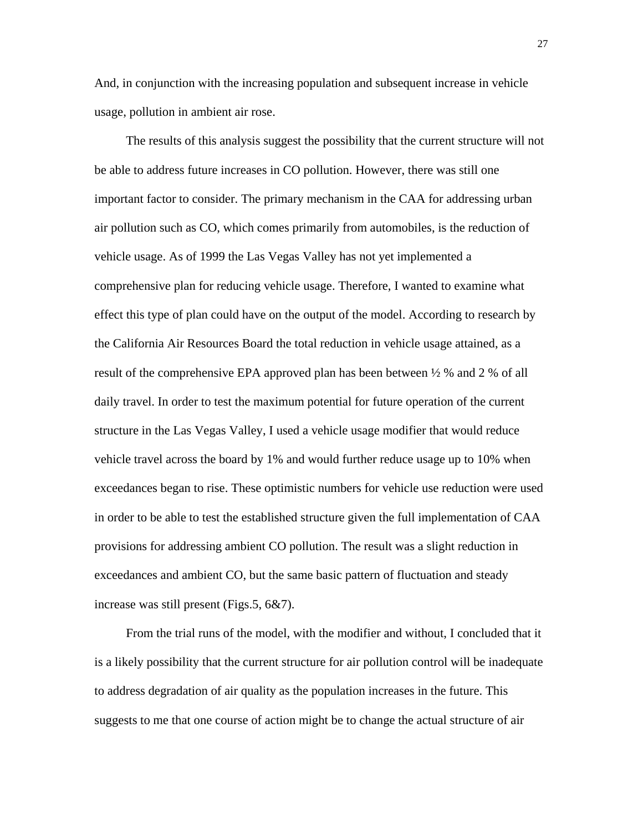And, in conjunction with the increasing population and subsequent increase in vehicle usage, pollution in ambient air rose.

 The results of this analysis suggest the possibility that the current structure will not be able to address future increases in CO pollution. However, there was still one important factor to consider. The primary mechanism in the CAA for addressing urban air pollution such as CO, which comes primarily from automobiles, is the reduction of vehicle usage. As of 1999 the Las Vegas Valley has not yet implemented a comprehensive plan for reducing vehicle usage. Therefore, I wanted to examine what effect this type of plan could have on the output of the model. According to research by the California Air Resources Board the total reduction in vehicle usage attained, as a result of the comprehensive EPA approved plan has been between ½ % and 2 % of all daily travel. In order to test the maximum potential for future operation of the current structure in the Las Vegas Valley, I used a vehicle usage modifier that would reduce vehicle travel across the board by 1% and would further reduce usage up to 10% when exceedances began to rise. These optimistic numbers for vehicle use reduction were used in order to be able to test the established structure given the full implementation of CAA provisions for addressing ambient CO pollution. The result was a slight reduction in exceedances and ambient CO, but the same basic pattern of fluctuation and steady increase was still present (Figs.5, 6&7).

 From the trial runs of the model, with the modifier and without, I concluded that it is a likely possibility that the current structure for air pollution control will be inadequate to address degradation of air quality as the population increases in the future. This suggests to me that one course of action might be to change the actual structure of air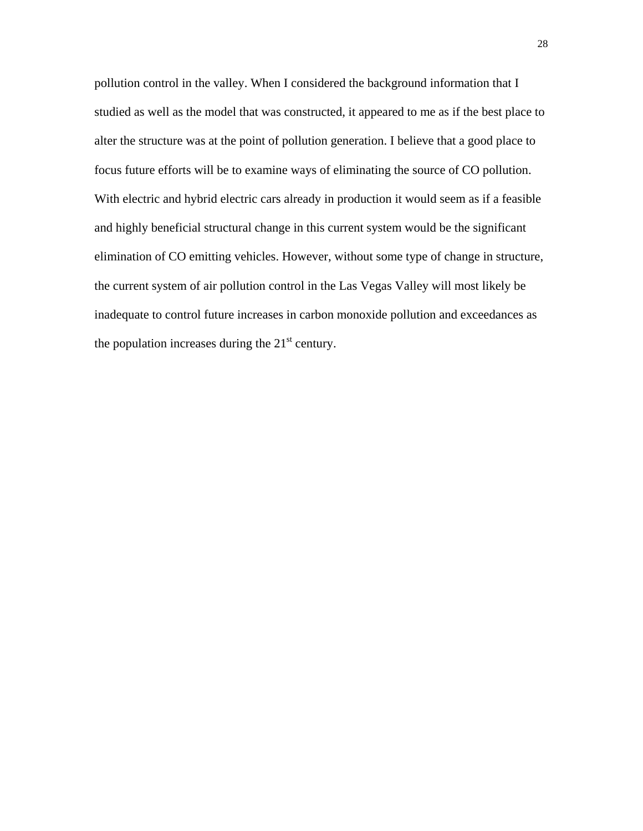pollution control in the valley. When I considered the background information that I studied as well as the model that was constructed, it appeared to me as if the best place to alter the structure was at the point of pollution generation. I believe that a good place to focus future efforts will be to examine ways of eliminating the source of CO pollution. With electric and hybrid electric cars already in production it would seem as if a feasible and highly beneficial structural change in this current system would be the significant elimination of CO emitting vehicles. However, without some type of change in structure, the current system of air pollution control in the Las Vegas Valley will most likely be inadequate to control future increases in carbon monoxide pollution and exceedances as the population increases during the  $21<sup>st</sup>$  century.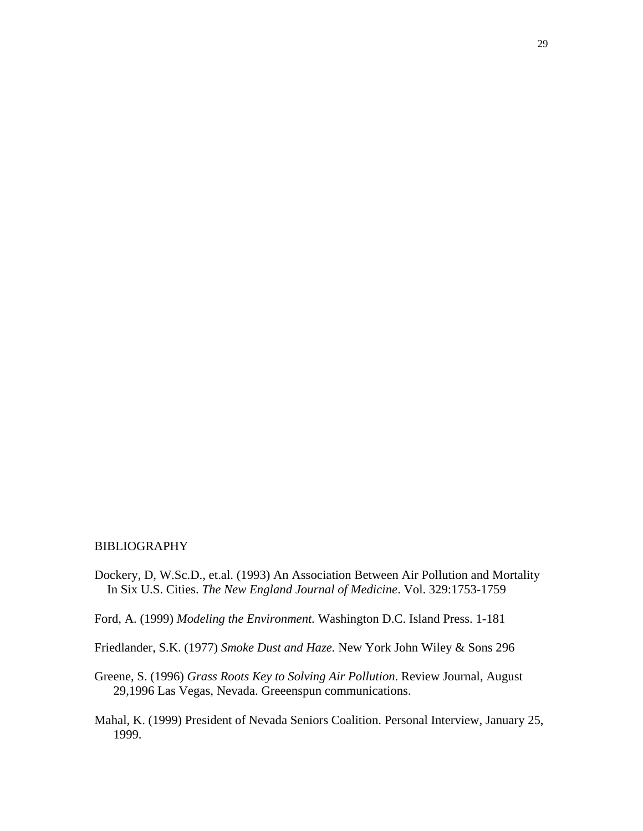#### BIBLIOGRAPHY

- Dockery, D, W.Sc.D., et.al. (1993) An Association Between Air Pollution and Mortality In Six U.S. Cities. *The New England Journal of Medicine*. Vol. 329:1753-1759
- Ford, A. (1999) *Modeling the Environment.* Washington D.C. Island Press. 1-181
- Friedlander, S.K. (1977) *Smoke Dust and Haze.* New York John Wiley & Sons 296
- Greene, S. (1996) *Grass Roots Key to Solving Air Pollution*. Review Journal, August 29,1996 Las Vegas, Nevada. Greeenspun communications.
- Mahal, K. (1999) President of Nevada Seniors Coalition. Personal Interview, January 25, 1999.